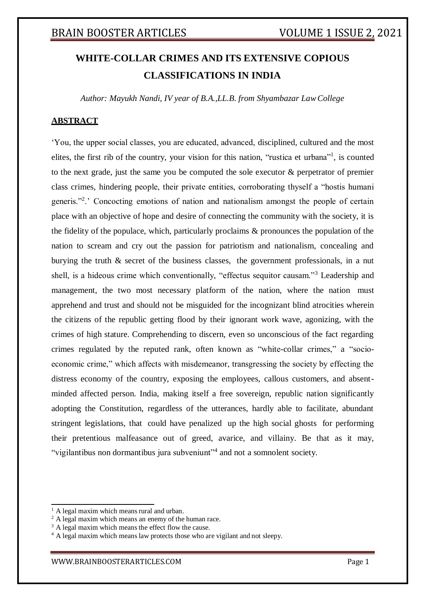# **WHITE-COLLAR CRIMES AND ITS EXTENSIVE COPIOUS CLASSIFICATIONS IN INDIA**

*Author: Mayukh Nandi, IV year of B.A.,LL.B. from Shyambazar LawCollege*

## **ABSTRACT**

'You, the upper social classes, you are educated, advanced, disciplined, cultured and the most elites, the first rib of the country, your vision for this nation, "rustica et urbana"<sup>1</sup>, is counted to the next grade, just the same you be computed the sole executor & perpetrator of premier class crimes, hindering people, their private entities, corroborating thyself a "hostis humani generis."<sup>2</sup>.' Concocting emotions of nation and nationalism amongst the people of certain place with an objective of hope and desire of connecting the community with the society, it is the fidelity of the populace, which, particularly proclaims & pronounces the population of the nation to scream and cry out the passion for patriotism and nationalism, concealing and burying the truth & secret of the business classes, the government professionals, in a nut shell, is a hideous crime which conventionally, "effectus sequitor causam."<sup>3</sup> Leadership and management, the two most necessary platform of the nation, where the nation must apprehend and trust and should not be misguided for the incognizant blind atrocities wherein the citizens of the republic getting flood by their ignorant work wave, agonizing, with the crimes of high stature. Comprehending to discern, even so unconscious of the fact regarding crimes regulated by the reputed rank, often known as "white-collar crimes," a "socioeconomic crime," which affects with misdemeanor, transgressing the society by effecting the distress economy of the country, exposing the employees, callous customers, and absentminded affected person. India, making itself a free sovereign, republic nation significantly adopting the Constitution, regardless of the utterances, hardly able to facilitate, abundant stringent legislations, that could have penalized up the high social ghosts for performing their pretentious malfeasance out of greed, avarice, and villainy. Be that as it may, "vigilantibus non dormantibus jura subveniunt"<sup>4</sup> and not a somnolent society.

A legal maxim which means rural and urban.

<sup>&</sup>lt;sup>2</sup> A legal maxim which means an enemy of the human race.

 $3$  A legal maxim which means the effect flow the cause.

<sup>&</sup>lt;sup>4</sup> A legal maxim which means law protects those who are vigilant and not sleepy.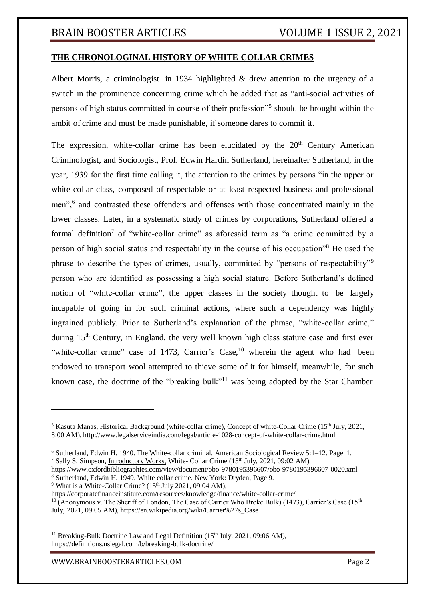## **THE CHRONOLOGINAL HISTORY OF WHITE-COLLAR CRIMES**

Albert Morris, a criminologist in 1934 highlighted & drew attention to the urgency of a switch in the prominence concerning crime which he added that as "anti-social activities of persons of high status committed in course of their profession"<sup>5</sup> should be brought within the ambit of crime and must be made punishable, if someone dares to commit it.

The expression, white-collar crime has been elucidated by the  $20<sup>th</sup>$  Century American Criminologist, and Sociologist, Prof. Edwin Hardin Sutherland, hereinafter Sutherland, in the year, 1939 for the first time calling it, the attention to the crimes by persons "in the upper or white-collar class, composed of respectable or at least respected business and professional men",<sup>6</sup> and contrasted these offenders and offenses with those concentrated mainly in the lower classes. Later, in a systematic study of crimes by corporations, Sutherland offered a formal definition<sup>7</sup> of "white-collar crime" as aforesaid term as "a crime committed by a person of high social status and respectability in the course of his occupation"<sup>8</sup> He used the phrase to describe the types of crimes, usually, committed by "persons of respectability"<sup>9</sup> person who are identified as possessing a high social stature. Before Sutherland's defined notion of "white-collar crime", the upper classes in the society thought to be largely incapable of going in for such criminal actions, where such a dependency was highly ingrained publicly. Prior to Sutherland's explanation of the phrase, "white-collar crime," during  $15<sup>th</sup>$  Century, in England, the very well known high class stature case and first ever "white-collar crime" case of 1473, Carrier's Case, $10$  wherein the agent who had been endowed to transport wool attempted to thieve some of it for himself, meanwhile, for such known case, the doctrine of the "breaking bulk"<sup>11</sup> was being adopted by the Star Chamber

 $9$  What is a White-Collar Crime? ( $15<sup>th</sup>$  July 2021, 09:04 AM),

https://corporatefinanceinstitute.com/resources/knowledge/finance/white-collar-crime/

<sup>11</sup> Breaking-Bulk Doctrine Law and Legal Definition  $(15<sup>th</sup>$  July, 2021, 09:06 AM). https://definitions.uslegal.com/b/breaking-bulk-doctrine/

[WWW.BRAINBOOSTERARTICLES.COM](http://www.brainboosterarticles.com/) Page 2

<sup>&</sup>lt;sup>5</sup> Kasuta Manas, Historical Background (white-collar crime), Concept of white-Collar Crime (15<sup>th</sup> July, 2021, 8:00 AM), <http://www.legalserviceindia.com/legal/article-1028-concept-of-white-collar-crime.html>

<sup>6</sup> Sutherland, Edwin H. 1940. The White-collar criminal. American Sociological Review 5:1–12. Page 1. <sup>7</sup> Sally S. Simpson, *Introductory Works*, White- Collar Crime (15<sup>th</sup> July, 2021, 09:02 AM),

https:/[/www.oxfordbibliographies.com/view/document/obo-9780195396607/obo-9780195396607-0020.xml](http://www.oxfordbibliographies.com/view/document/obo-9780195396607/obo-9780195396607-0020.xml) <sup>8</sup> Sutherland, Edwin H. 1949. White collar crime. New York: Dryden, Page 9.

<sup>&</sup>lt;sup>10</sup> (Anonymous v. The Sheriff of London, The Case of Carrier Who Broke Bulk) (1473), Carrier's Case (15<sup>th</sup> July, 2021, 09:05 AM), https://en.wikipedia.org/wiki/Carrier%27s\_Case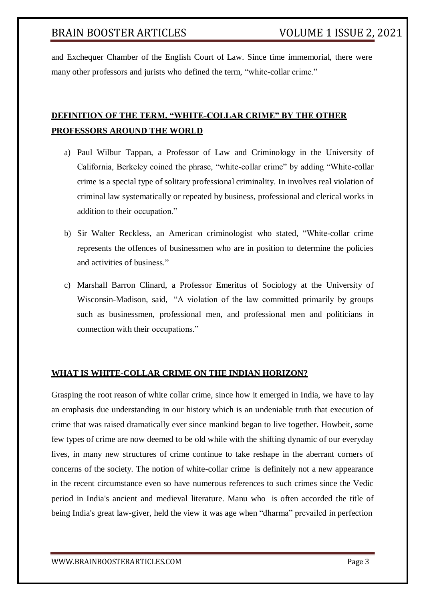and Exchequer Chamber of the English Court of Law. Since time immemorial, there were many other professors and jurists who defined the term, "white-collar crime."

## **DEFINITION OF THE TERM, "WHITE-COLLAR CRIME" BY THE OTHER PROFESSORS AROUND THE WORLD**

- a) Paul Wilbur Tappan, a Professor of Law and Criminology in the University of California, Berkeley coined the phrase, "white-collar crime" by adding "White-collar crime is a special type of solitary professional criminality. In involves real violation of criminal law systematically or repeated by business, professional and clerical works in addition to their occupation."
- b) Sir Walter Reckless, an American [criminologist](https://en.wikipedia.org/wiki/Criminology) who stated, "White-collar crime represents the offences of businessmen who are in position to determine the policies and activities of business."
- c) Marshall Barron Clinard, a Professor Emeritus of Sociology at the University of Wisconsin-Madison, said, "A violation of the law committed primarily by groups such as businessmen, professional men, and professional men and politicians in connection with their occupations."

## **WHAT IS WHITE-COLLAR CRIME ON THE INDIAN HORIZON?**

Grasping the root reason of white collar crime, since how it emerged in India, we have to lay an emphasis due understanding in our history which is an undeniable truth that execution of crime that was raised dramatically ever since mankind began to live together. Howbeit, some few types of crime are now deemed to be old while with the shifting dynamic of our everyday lives, in many new structures of crime continue to take reshape in the aberrant corners of concerns of the society. The notion of white-collar crime is definitely not a new appearance in the recent circumstance even so have numerous references to such crimes since the Vedic period in India's ancient and medieval literature. Manu who is often accorded the title of being India's great law-giver, held the view it was age when "dharma" prevailed in perfection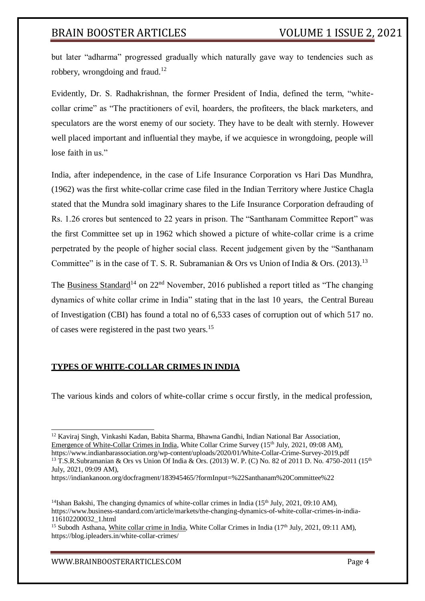but later "adharma" progressed gradually which naturally gave way to tendencies such as robbery, wrongdoing and fraud.<sup>12</sup>

Evidently, Dr. S. Radhakrishnan, the former President of India, defined the term, "whitecollar crime" as "The practitioners of evil, hoarders, the profiteers, the black marketers, and speculators are the worst enemy of our society. They have to be dealt with sternly. However well placed important and influential they maybe, if we acquiesce in wrongdoing, people will lose faith in us."

India, after independence, in the case of Life Insurance Corporation vs Hari Das Mundhra, (1962) was the first white-collar crime case filed in the Indian Territory where Justice Chagla stated that the Mundra sold imaginary shares to the Life Insurance Corporation defrauding of Rs. 1.26 crores but sentenced to 22 years in prison. The "Santhanam Committee Report" was the first Committee set up in 1962 which showed a picture of white-collar crime is a crime perpetrated by the people of higher social class. Recent judgement given by the "Santhanam Committee" is in the case of T. S. R. Subramanian & Ors vs Union of India & Ors.  $(2013)$ .<sup>13</sup>

The [Business Standard](https://www.business-standard.com/article/markets/the-changing-dynamics-of-white-collar-crimes-in-india-116102200032_1.html)<sup>14</sup> on  $22<sup>nd</sup>$  November, 2016 published a report titled as "The changing" dynamics of white collar crime in India" stating that in the last 10 years, the Central Bureau of Investigation (CBI) has found a total no of 6,533 cases of corruption out of which 517 no. of cases were registered in the past two years.<sup>15</sup>

## **TYPES OF WHITE-COLLAR CRIMES IN INDIA**

The various kinds and colors of white-collar crime s occur firstly, in the medical profession,

<sup>12</sup> Kaviraj Singh, Vinkashi Kadan, Babita Sharma, Bhawna Gandhi, Indian National Bar Association, Emergence of White-Collar Crimes in India, White Collar Crime Survey (15th July, 2021, 09:08 AM),

https:/[/www.indianbarassociation.org/wp-content/uploads/2020/01/White-Collar-Crime-Survey-2019.pdf](http://www.indianbarassociation.org/wp-content/uploads/2020/01/White-Collar-Crime-Survey-2019.pdf) <sup>13</sup> T.S.R.Subramanian & Ors vs Union Of India & Ors. (2013) W. P. (C) No. 82 of 2011 D. No. 4750-2011 (15<sup>th</sup> July, 2021, 09:09 AM),

https://indiankanoon.org/docfragment/183945465/?formInput=%22Santhanam%20Committee%22

<sup>&</sup>lt;sup>14</sup>Ishan Bakshi, The changing dynamics of white-collar crimes in India (15<sup>th</sup> July, 2021, 09:10 AM), https:/[/www.business-standard.com/article/markets/the-changing-dynamics-of-white-collar-crimes-in-india-](http://www.business-standard.com/article/markets/the-changing-dynamics-of-white-collar-crimes-in-india-)116102200032\_1.html

<sup>&</sup>lt;sup>15</sup> Subodh Asthana, White collar crime in India, White Collar Crimes in India  $(17<sup>th</sup>$  July, 2021, 09:11 AM), https://blog.ipleaders.in/white-collar-crimes/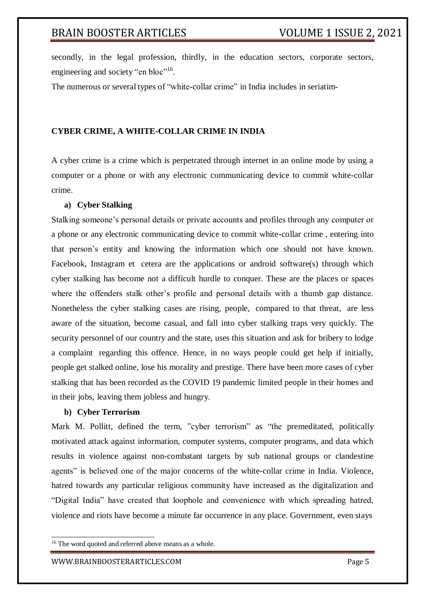secondly, in the legal profession, thirdly, in the education sectors, corporate sectors, engineering and society "en bloc"<sup>16</sup>.

The numerous or several types of "white-collar crime" in India includes in seriatim-

## **CYBER CRIME, A WHITE-COLLAR CRIME IN INDIA**

A cyber crime is a crime which is perpetrated through internet in an online mode by using a computer or a phone or with any electronic communicating device to commit white-collar crime.

#### **a) Cyber Stalking**

Stalking someone's personal details or private accounts and profiles through any computer or a phone or any electronic communicating device to commit white-collar crime , entering into that person's entity and knowing the information which one should not have known. Facebook, Instagram et cetera are the applications or android software(s) through which cyber stalking has become not a difficult hurdle to conquer. These are the places or spaces where the offenders stalk other's profile and personal details with a thumb gap distance. Nonetheless the cyber stalking cases are rising, people, compared to that threat, are less aware of the situation, become casual, and fall into cyber stalking traps very quickly. The security personnel of our country and the state, uses this situation and ask for bribery to lodge a complaint regarding this offence. Hence, in no ways people could get help if initially, people get stalked online, lose his morality and prestige. There have been more cases of cyber stalking that has been recorded as the COVID 19 pandemic limited people in their homes and in their jobs, leaving them jobless and hungry.

#### **b) Cyber Terrorism**

Mark M. Pollitt, defined the term, "cyber terrorism" as "the premeditated, politically motivated attack against information, computer systems, computer programs, and data which results in violence against non-combatant targets by sub national groups or clandestine agents" is believed one of the major concerns of the white-collar crime in India. Violence, hatred towards any particular religious community have increased as the digitalization and "Digital India" have created that loophole and convenience with which spreading hatred, violence and riots have become a minute far occurrence in any place. Government, even stays

<sup>&</sup>lt;sup>16</sup> The word quoted and referred above means as a whole.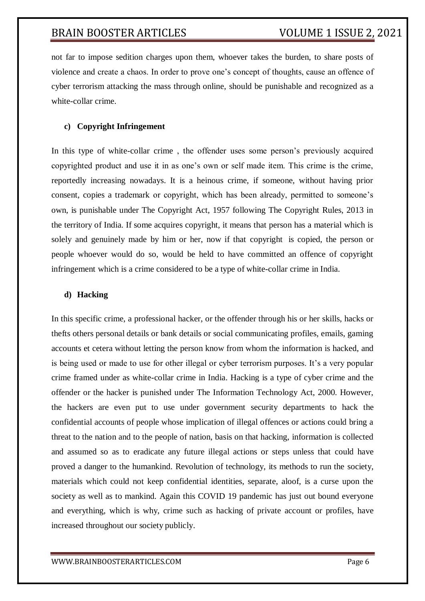not far to impose sedition charges upon them, whoever takes the burden, to share posts of violence and create a chaos. In order to prove one's concept of thoughts, cause an offence of cyber terrorism attacking the mass through online, should be punishable and recognized as a white-collar crime.

## **c) Copyright Infringement**

In this type of white-collar crime , the offender uses some person's previously acquired copyrighted product and use it in as one's own or self made item. This crime is the crime, reportedly increasing nowadays. It is a heinous crime, if someone, without having prior consent, copies a trademark or copyright, which has been already, permitted to someone's own, is punishable under The Copyright Act, 1957 following The Copyright Rules, 2013 in the territory of India. If some acquires copyright, it means that person has a material which is solely and genuinely made by him or her, now if that copyright is copied, the person or people whoever would do so, would be held to have committed an offence of copyright infringement which is a crime considered to be a type of white-collar crime in India.

#### **d) Hacking**

In this specific crime, a professional hacker, or the offender through his or her skills, hacks or thefts others personal details or bank details or social communicating profiles, emails, gaming accounts et cetera without letting the person know from whom the information is hacked, and is being used or made to use for other illegal or cyber terrorism purposes. It's a very popular crime framed under as white-collar crime in India. Hacking is a type of cyber crime and the offender or the hacker is punished under The Information Technology Act, 2000. However, the hackers are even put to use under government security departments to hack the confidential accounts of people whose implication of illegal offences or actions could bring a threat to the nation and to the people of nation, basis on that hacking, information is collected and assumed so as to eradicate any future illegal actions or steps unless that could have proved a danger to the humankind. Revolution of technology, its methods to run the society, materials which could not keep confidential identities, separate, aloof, is a curse upon the society as well as to mankind. Again this COVID 19 pandemic has just out bound everyone and everything, which is why, crime such as hacking of private account or profiles, have increased throughout our society publicly.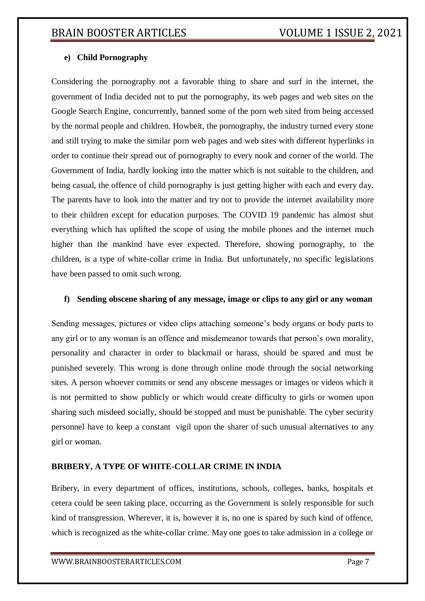## **e) Child Pornography**

Considering the pornography not a favorable thing to share and surf in the internet, the government of India decided not to put the pornography, its web pages and web sites on the Google Search Engine, concurrently, banned some of the porn web sited from being accessed by the normal people and children. Howbeit, the pornography, the industry turned every stone and still trying to make the similar porn web pages and web sites with different hyperlinks in order to continue their spread out of pornography to every nook and corner of the world. The Government of India, hardly looking into the matter which is not suitable to the children, and being casual, the offence of child pornography is just getting higher with each and every day. The parents have to look into the matter and try not to provide the internet availability more to their children except for education purposes. The COVID 19 pandemic has almost shut everything which has uplifted the scope of using the mobile phones and the internet much higher than the mankind have ever expected. Therefore, showing pornography, to the children, is a type of white-collar crime in India. But unfortunately, no specific legislations have been passed to omit such wrong.

## **f) Sending obscene sharing of any message, image or clips to any girl or any woman**

Sending messages, pictures or video clips attaching someone's body organs or body parts to any girl or to any woman is an offence and misdemeanor towards that person's own morality, personality and character in order to blackmail or harass, should be spared and must be punished severely. This wrong is done through online mode through the social networking sites. A person whoever commits or send any obscene messages or images or videos which it is not permitted to show publicly or which would create difficulty to girls or women upon sharing such misdeed socially, should be stopped and must be punishable. The cyber security personnel have to keep a constant vigil upon the sharer of such unusual alternatives to any girl or woman.

## **BRIBERY, A TYPE OF WHITE-COLLAR CRIME IN INDIA**

Bribery, in every department of offices, institutions, schools, colleges, banks, hospitals et cetera could be seen taking place, occurring as the Government is solely responsible for such kind of transgression. Wherever, it is, however it is, no one is spared by such kind of offence, which is recognized as the white-collar crime. May one goes to take admission in a college or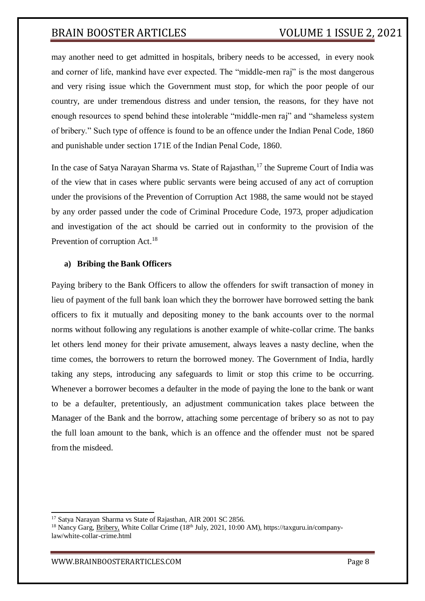may another need to get admitted in hospitals, bribery needs to be accessed, in every nook and corner of life, mankind have ever expected. The "middle-men raj" is the most dangerous and very rising issue which the Government must stop, for which the poor people of our country, are under tremendous distress and under tension, the reasons, for they have not enough resources to spend behind these intolerable "middle-men raj" and "shameless system of bribery." Such type of offence is found to be an offence under the Indian Penal Code, 1860 and punishable under section 171E of the Indian Penal Code, 1860.

In the case of Satya Narayan Sharma vs. State of Rajasthan,  $17$  the Supreme Court of India was of the view that in cases where public servants were being accused of any act of corruption under the provisions of the Prevention of Corruption Act 1988, the same would not be stayed by any order passed under the code of Criminal Procedure Code, 1973, proper adjudication and investigation of the act should be carried out in conformity to the provision of the Prevention of corruption Act.<sup>18</sup>

## **a) Bribing the Bank Officers**

Paying bribery to the Bank Officers to allow the offenders for swift transaction of money in lieu of payment of the full bank loan which they the borrower have borrowed setting the bank officers to fix it mutually and depositing money to the bank accounts over to the normal norms without following any regulations is another example of white-collar crime. The banks let others lend money for their private amusement, always leaves a nasty decline, when the time comes, the borrowers to return the borrowed money. The Government of India, hardly taking any steps, introducing any safeguards to limit or stop this crime to be occurring. Whenever a borrower becomes a defaulter in the mode of paying the lone to the bank or want to be a defaulter, pretentiously, an adjustment communication takes place between the Manager of the Bank and the borrow, attaching some percentage of bribery so as not to pay the full loan amount to the bank, which is an offence and the offender must not be spared from the misdeed.

<sup>&</sup>lt;sup>17</sup> Satya Narayan Sharma vs State of Rajasthan, AIR 2001 SC 2856.

<sup>&</sup>lt;sup>18</sup> Nancy Garg, Bribery, White Collar Crime (18<sup>th</sup> July, 2021, 10:00 AM), https://taxguru.in/companylaw/white-collar-crime.html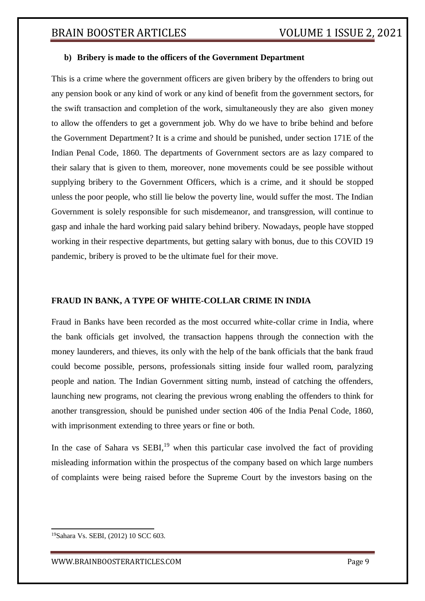## **b) Bribery is made to the officers of the Government Department**

This is a crime where the government officers are given bribery by the offenders to bring out any pension book or any kind of work or any kind of benefit from the government sectors, for the swift transaction and completion of the work, simultaneously they are also given money to allow the offenders to get a government job. Why do we have to bribe behind and before the Government Department? It is a crime and should be punished, under section 171E of the Indian Penal Code, 1860. The departments of Government sectors are as lazy compared to their salary that is given to them, moreover, none movements could be see possible without supplying bribery to the Government Officers, which is a crime, and it should be stopped unless the poor people, who still lie below the poverty line, would suffer the most. The Indian Government is solely responsible for such misdemeanor, and transgression, will continue to gasp and inhale the hard working paid salary behind bribery. Nowadays, people have stopped working in their respective departments, but getting salary with bonus, due to this COVID 19 pandemic, bribery is proved to be the ultimate fuel for their move.

## **FRAUD IN BANK, A TYPE OF WHITE-COLLAR CRIME IN INDIA**

Fraud in Banks have been recorded as the most occurred white-collar crime in India, where the bank officials get involved, the transaction happens through the connection with the money launderers, and thieves, its only with the help of the bank officials that the bank fraud could become possible, persons, professionals sitting inside four walled room, paralyzing people and nation. The Indian Government sitting numb, instead of catching the offenders, launching new programs, not clearing the previous wrong enabling the offenders to think for another transgression, should be punished under section 406 of the India Penal Code, 1860, with imprisonment extending to three years or fine or both.

In the case of Sahara vs  $SEBI<sub>19</sub>$  when this particular case involved the fact of providing misleading information within the prospectus of the company based on which large numbers of complaints were being raised before the Supreme Court by the investors basing on the

<sup>19</sup>Sahara Vs. SEBI, (2012) 10 SCC 603.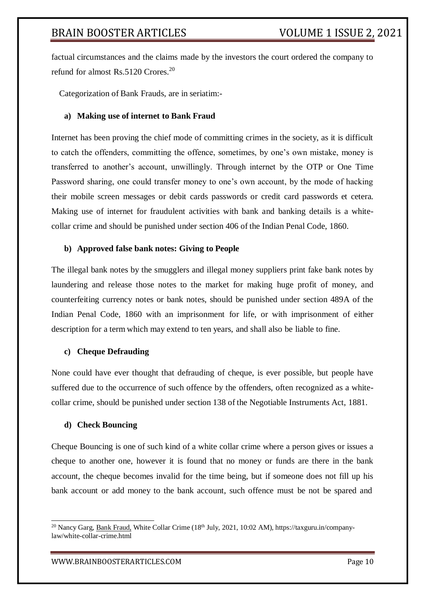factual circumstances and the claims made by the investors the court ordered the company to refund for almost Rs.5120 Crores.<sup>20</sup>

Categorization of Bank Frauds, are in seriatim:-

#### **a) Making use of internet to Bank Fraud**

Internet has been proving the chief mode of committing crimes in the society, as it is difficult to catch the offenders, committing the offence, sometimes, by one's own mistake, money is transferred to another's account, unwillingly. Through internet by the OTP or One Time Password sharing, one could transfer money to one's own account, by the mode of hacking their mobile screen messages or debit cards passwords or credit card passwords et cetera. Making use of internet for fraudulent activities with bank and banking details is a whitecollar crime and should be punished under section 406 of the Indian Penal Code, 1860.

#### **b) Approved false bank notes: Giving to People**

The illegal bank notes by the smugglers and illegal money suppliers print fake bank notes by laundering and release those notes to the market for making huge profit of money, and counterfeiting currency notes or bank notes, should be punished under section 489A of the Indian Penal Code, 1860 with an imprisonment for life, or with imprisonment of either description for a term which may extend to ten years, and shall also be liable to fine.

#### **c) Cheque Defrauding**

None could have ever thought that defrauding of cheque, is ever possible, but people have suffered due to the occurrence of such offence by the offenders, often recognized as a whitecollar crime, should be punished under section 138 of the Negotiable Instruments Act, 1881.

#### **d) Check Bouncing**

Cheque Bouncing is one of such kind of a white collar crime where a person gives or issues a cheque to another one, however it is found that no money or funds are there in the bank account, the cheque becomes invalid for the time being, but if someone does not fill up his bank account or add money to the bank account, such offence must be not be spared and

<sup>&</sup>lt;sup>20</sup> Nancy Garg, Bank Fraud, White Collar Crime (18<sup>th</sup> July, 2021, 10:02 AM), https://taxguru.in/companylaw/white-collar-crime.html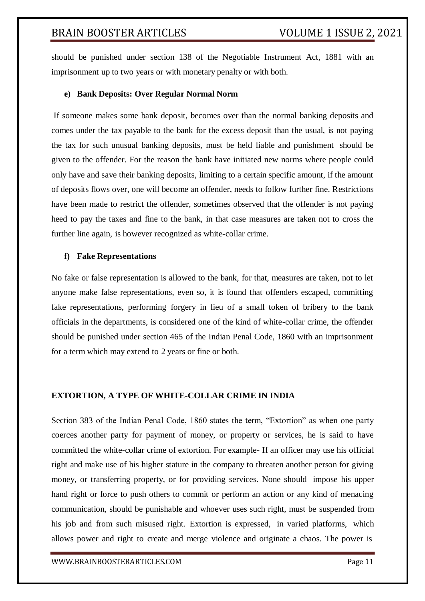should be punished under section 138 of the Negotiable Instrument Act, 1881 with an imprisonment up to two years or with monetary penalty or with both.

#### **e) Bank Deposits: Over Regular Normal Norm**

If someone makes some bank deposit, becomes over than the normal banking deposits and comes under the tax payable to the bank for the excess deposit than the usual, is not paying the tax for such unusual banking deposits, must be held liable and punishment should be given to the offender. For the reason the bank have initiated new norms where people could only have and save their banking deposits, limiting to a certain specific amount, if the amount of deposits flows over, one will become an offender, needs to follow further fine. Restrictions have been made to restrict the offender, sometimes observed that the offender is not paying heed to pay the taxes and fine to the bank, in that case measures are taken not to cross the further line again, is however recognized as white-collar crime.

#### **f) Fake Representations**

No fake or false representation is allowed to the bank, for that, measures are taken, not to let anyone make false representations, even so, it is found that offenders escaped, committing fake representations, performing forgery in lieu of a small token of bribery to the bank officials in the departments, is considered one of the kind of white-collar crime, the offender should be punished under section 465 of the Indian Penal Code, 1860 with an imprisonment for a term which may extend to 2 years or fine or both.

## **EXTORTION, A TYPE OF WHITE-COLLAR CRIME IN INDIA**

[Section 383 o](https://indiankanoon.org/doc/262864/)f the Indian Penal Code, 1860 states the term, "Extortion" as when one party coerces another party for payment of money, or property or services, he is said to have committed the white-collar crime of extortion. For example- If an officer may use his official right and make use of his higher stature in the company to threaten another person for giving money, or transferring property, or for providing services. None should impose his upper hand right or force to push others to commit or perform an action or any kind of menacing communication, should be punishable and whoever uses such right, must be suspended from his job and from such misused right. Extortion is expressed, in varied platforms, which allows power and right to create and merge violence and originate a chaos. The power is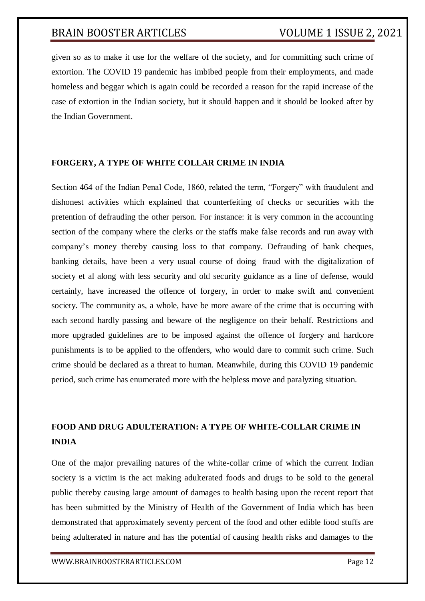given so as to make it use for the welfare of the society, and for committing such crime of extortion. The COVID 19 pandemic has imbibed people from their employments, and made homeless and beggar which is again could be recorded a reason for the rapid increase of the case of extortion in the Indian society, but it should happen and it should be looked after by the Indian Government.

## **FORGERY, A TYPE OF WHITE COLLAR CRIME IN INDIA**

[Section 464 o](https://indiankanoon.org/doc/1745798/)f the Indian Penal Code, 1860, related the term, "Forgery" with fraudulent and dishonest activities which explained that counterfeiting of checks or securities with the pretention of defrauding the other person. For instance: it is very common in the accounting section of the company where the clerks or the staffs make false records and run away with company's money thereby causing loss to that company. Defrauding of bank cheques, banking details, have been a very usual course of doing fraud with the digitalization of society et al along with less security and old security guidance as a line of defense, would certainly, have increased the offence of forgery, in order to make swift and convenient society. The community as, a whole, have be more aware of the crime that is occurring with each second hardly passing and beware of the negligence on their behalf. Restrictions and more upgraded guidelines are to be imposed against the offence of forgery and hardcore punishments is to be applied to the offenders, who would dare to commit such crime. Such crime should be declared as a threat to human. Meanwhile, during this COVID 19 pandemic period, such crime has enumerated more with the helpless move and paralyzing situation.

## **FOOD AND DRUG ADULTERATION: A TYPE OF WHITE-COLLAR CRIME IN INDIA**

One of the major prevailing natures of the white-collar crime of which the current Indian society is a victim is the act making adulterated foods and drugs to be sold to the general public thereby causing large amount of damages to health basing upon the recent report that has been submitted by the Ministry of Health of the Government of India which has been demonstrated that approximately seventy percent of the food and other edible food stuffs are being adulterated in nature and has the potential of causing health risks and damages to the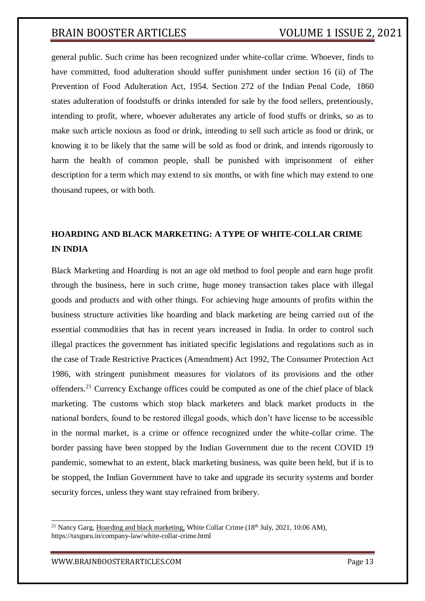general public. Such crime has been recognized under white-collar crime. Whoever, finds to have committed, food adulteration should suffer punishment under section 16 (ii) of The Prevention of Food Adulteration Act, 1954. Section 272 of the Indian Penal Code, 1860 states adulteration of foodstuffs or drinks intended for sale by the food sellers, pretentiously, intending to profit, where, whoever adulterates any article of food stuffs or drinks, so as to make such article noxious as food or drink, intending to sell such article as food or drink, or knowing it to be likely that the same will be sold as food or drink, and intends rigorously to harm the health of common people, shall be punished with imprisonment of either description for a term which may extend to six months, or with fine which may extend to one thousand rupees, or with both.

## **HOARDING AND BLACK MARKETING: A TYPE OF WHITE-COLLAR CRIME IN INDIA**

Black Marketing and Hoarding is not an age old method to fool people and earn huge profit through the business, here in such crime, huge money transaction takes place with illegal goods and products and with other things. For achieving huge amounts of profits within the business structure activities like hoarding and black marketing are being carried out of the essential commodities that has in recent years increased in India. In order to control such illegal practices the government has initiated specific legislations and regulations such as in the case of Trade Restrictive Practices (Amendment) Act 1992, The Consumer Protection Act 1986, with stringent punishment measures for violators of its provisions and the other offenders.<sup>21</sup> Currency Exchange offices could be computed as one of the chief place of black marketing. The customs which stop black marketers and black market products in the national borders, found to be restored illegal goods, which don't have license to be accessible in the normal market, is a crime or offence recognized under the white-collar crime. The border passing have been stopped by the Indian Government due to the recent COVID 19 pandemic, somewhat to an extent, black marketing business, was quite been held, but if is to be stopped, the Indian Government have to take and upgrade its security systems and border security forces, unless they want stay refrained from bribery.

<sup>&</sup>lt;sup>21</sup> Nancy Garg, Hoarding and black marketing, White Collar Crime (18<sup>th</sup> July, 2021, 10:06 AM), https://taxguru.in/company-law/white-collar-crime.html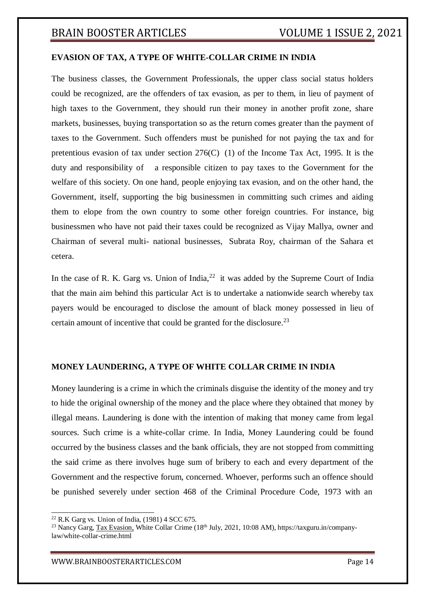#### **EVASION OF TAX, A TYPE OF WHITE-COLLAR CRIME IN INDIA**

The business classes, the Government Professionals, the upper class social status holders could be recognized, are the offenders of tax evasion, as per to them, in lieu of payment of high taxes to the Government, they should run their money in another profit zone, share markets, businesses, buying transportation so as the return comes greater than the payment of taxes to the Government. Such offenders must be punished for not paying the tax and for pretentious evasion of tax under section 276(C) (1) of the Income Tax Act, 1995. It is the duty and responsibility of a responsible citizen to pay taxes to the Government for the welfare of this society. On one hand, people enjoying tax evasion, and on the other hand, the Government, itself, supporting the big businessmen in committing such crimes and aiding them to elope from the own country to some other foreign countries. For instance, big businessmen who have not paid their taxes could be recognized as Vijay Mallya, owner and Chairman of several multi- national businesses, Subrata Roy, chairman of the Sahara et cetera.

In the case of R. K. Garg vs. Union of India,  $2<sup>2</sup>$  it was added by the Supreme Court of India that the main aim behind this particular Act is to undertake a nationwide search whereby tax payers would be encouraged to disclose the amount of black money possessed in lieu of certain amount of incentive that could be granted for the disclosure.<sup>23</sup>

#### **MONEY LAUNDERING, A TYPE OF WHITE COLLAR CRIME IN INDIA**

Money laundering is a crime in which the criminals disguise the identity of the money and try to hide the original ownership of the money and the place where they obtained that money by illegal means. Laundering is done with the intention of making that money came from legal sources. Such crime is a white-collar crime. In India, Money Laundering could be found occurred by the business classes and the bank officials, they are not stopped from committing the said crime as there involves huge sum of bribery to each and every department of the Government and the respective forum, concerned. Whoever, performs such an offence should be punished severely under section 468 of the Criminal Procedure Code, 1973 with an

 $22$  R.K Garg vs. Union of India, (1981) 4 SCC 675.

<sup>&</sup>lt;sup>23</sup> Nancy Garg, Tax Evasion, White Collar Crime (18<sup>th</sup> July, 2021, 10:08 AM), https://taxguru.in/companylaw/white-collar-crime.html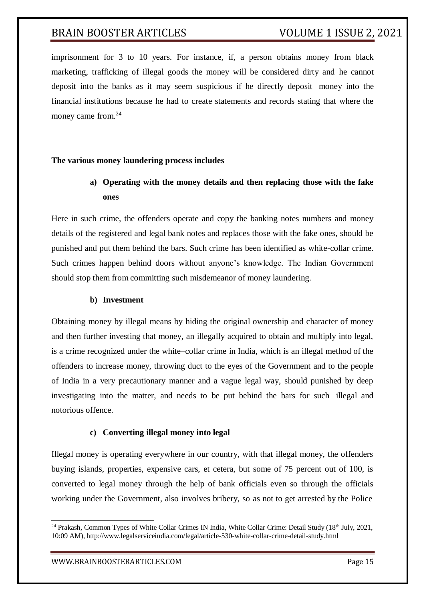imprisonment for 3 to 10 years. For instance, if, a person obtains money from black marketing, trafficking of illegal goods the money will be considered dirty and he cannot deposit into the banks as it may seem suspicious if he directly deposit money into the financial institutions because he had to create statements and records stating that where the money came from.<sup>24</sup>

## **The various money laundering process includes**

## **a) Operating with the money details and then replacing those with the fake ones**

Here in such crime, the offenders operate and copy the banking notes numbers and money details of the registered and legal bank notes and replaces those with the fake ones, should be punished and put them behind the bars. Such crime has been identified as white-collar crime. Such crimes happen behind doors without anyone's knowledge. The Indian Government should stop them from committing such misdemeanor of money laundering.

#### **b) Investment**

Obtaining money by illegal means by hiding the original ownership and character of money and then further investing that money, an illegally acquired to obtain and multiply into legal, is a crime recognized under the white–collar crime in India, which is an illegal method of the offenders to increase money, throwing duct to the eyes of the Government and to the people of India in a very precautionary manner and a vague legal way, should punished by deep investigating into the matter, and needs to be put behind the bars for such illegal and notorious offence.

## **c) Converting illegal money into legal**

Illegal money is operating everywhere in our country, with that illegal money, the offenders buying islands, properties, expensive cars, et cetera, but some of 75 percent out of 100, is converted to legal money through the help of bank officials even so through the officials working under the Government, also involves bribery, so as not to get arrested by the Police

<sup>&</sup>lt;sup>24</sup> Prakash, Common Types of White Collar Crimes IN India, White Collar Crime: Detail Study (18<sup>th</sup> July, 2021, 10:09 AM), <http://www.legalserviceindia.com/legal/article-530-white-collar-crime-detail-study.html>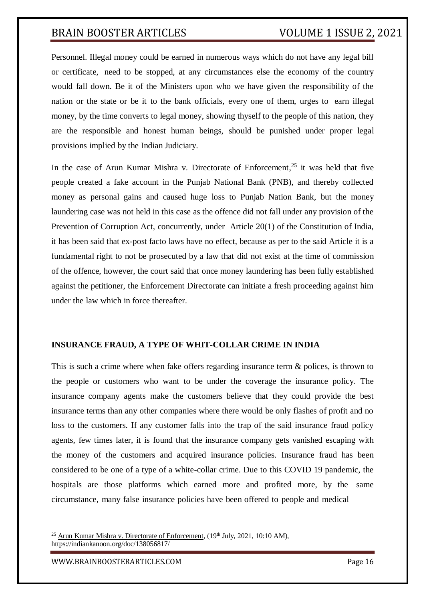Personnel. Illegal money could be earned in numerous ways which do not have any legal bill or certificate, need to be stopped, at any circumstances else the economy of the country would fall down. Be it of the Ministers upon who we have given the responsibility of the nation or the state or be it to the bank officials, every one of them, urges to earn illegal money, by the time converts to legal money, showing thyself to the people of this nation, they are the responsible and honest human beings, should be punished under proper legal provisions implied by the Indian Judiciary.

In the case of [Arun Kumar Mishra v. Directorate of Enforcement,](https://indiankanoon.org/doc/138056817/)<sup>25</sup> it was held that five people created a fake account in the Punjab National Bank (PNB), and thereby collected money as personal gains and caused huge loss to Punjab Nation Bank, but the money laundering case was not held in this case as the offence did not fall under any provision of the Prevention of Corruption Act, concurrently, under [Article 20\(1\) o](https://indiankanoon.org/doc/1501707/)f the Constitution of India, it has been said that ex-post facto laws have no effect, because as per to the said Article it is a fundamental right to not be prosecuted by a law that did not exist at the time of commission of the offence, however, the court said that once money laundering has been fully established against the petitioner, the Enforcement Directorate can initiate a fresh proceeding against him under the law which in force thereafter.

## **INSURANCE FRAUD, A TYPE OF WHIT-COLLAR CRIME IN INDIA**

This is such a crime where when fake offers regarding insurance term & polices, is thrown to the people or customers who want to be under the coverage the insurance policy. The insurance company agents make the customers believe that they could provide the best insurance terms than any other companies where there would be only flashes of profit and no loss to the customers. If any customer falls into the trap of the said insurance fraud policy agents, few times later, it is found that the insurance company gets vanished escaping with the money of the customers and acquired insurance policies. Insurance fraud has been considered to be one of a type of a white-collar crime. Due to this COVID 19 pandemic, the hospitals are those platforms which earned more and profited more, by the same circumstance, many false insurance policies have been offered to people and medical

[WWW.BRAINBOOSTERARTICLES.COM](http://www.brainboosterarticles.com/) Page 16

<sup>&</sup>lt;sup>25</sup> [Arun Kumar Mishra v. Directorate of Enforcement,](https://indiankanoon.org/doc/138056817/)  $(19<sup>th</sup> July, 2021, 10:10 AM)$ , https://indiankanoon.org/doc/138056817/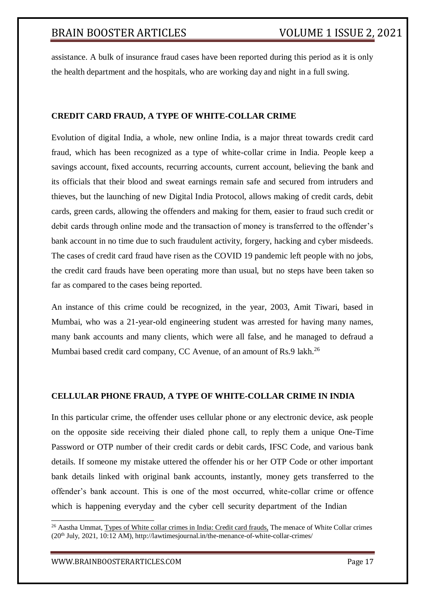assistance. A bulk of insurance fraud cases have been reported during this period as it is only the health department and the hospitals, who are working day and night in a full swing.

## **CREDIT CARD FRAUD, A TYPE OF WHITE-COLLAR CRIME**

Evolution of digital India, a whole, new online India, is a major threat towards credit card fraud, which has been recognized as a type of white-collar crime in India. People keep a savings account, fixed accounts, recurring accounts, current account, believing the bank and its officials that their blood and sweat earnings remain safe and secured from intruders and thieves, but the launching of new Digital India Protocol, allows making of credit cards, debit cards, green cards, allowing the offenders and making for them, easier to fraud such credit or debit cards through online mode and the transaction of money is transferred to the offender's bank account in no time due to such fraudulent activity, forgery, hacking and cyber misdeeds. The cases of credit card fraud have risen as the COVID 19 pandemic left people with no jobs, the credit card frauds have been operating more than usual, but no steps have been taken so far as compared to the cases being reported.

An instance of this crime could be recognized, in the year, 2003, Amit Tiwari, based in Mumbai, who was a 21-year-old engineering student was arrested for having many names, many bank accounts and many clients, which were all false, and he managed to defraud a Mumbai based credit card company, CC Avenue, of an amount of Rs.9 lakh.<sup>26</sup>

## **CELLULAR PHONE FRAUD, A TYPE OF WHITE-COLLAR CRIME IN INDIA**

In this particular crime, the offender uses cellular phone or any electronic device, ask people on the opposite side receiving their dialed phone call, to reply them a unique One-Time Password or OTP number of their credit cards or debit cards, IFSC Code, and various bank details. If someone my mistake uttered the offender his or her OTP Code or other important bank details linked with original bank accounts, instantly, money gets transferred to the offender's bank account. This is one of the most occurred, white-collar crime or offence which is happening everyday and the cyber cell security department of the Indian

<sup>&</sup>lt;sup>26</sup> Aastha Ummat, Types of White collar crimes in India: Credit card frauds, The menace of White Collar crimes (20th July, 2021, 10:12 AM)[, http://lawtimesjournal.in/the-menance-of-white-collar-crimes/](http://lawtimesjournal.in/the-menance-of-white-collar-crimes/)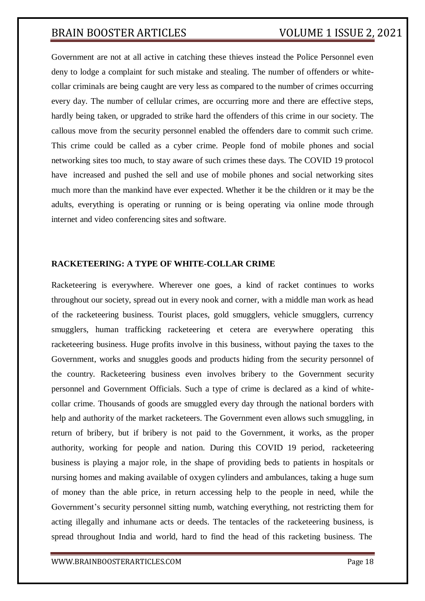Government are not at all active in catching these thieves instead the Police Personnel even deny to lodge a complaint for such mistake and stealing. The number of offenders or whitecollar criminals are being caught are very less as compared to the number of crimes occurring every day. The number of cellular crimes, are occurring more and there are effective steps, hardly being taken, or upgraded to strike hard the offenders of this crime in our society. The callous move from the security personnel enabled the offenders dare to commit such crime. This crime could be called as a cyber crime. People fond of mobile phones and social networking sites too much, to stay aware of such crimes these days. The COVID 19 protocol have increased and pushed the sell and use of mobile phones and social networking sites much more than the mankind have ever expected. Whether it be the children or it may be the adults, everything is operating or running or is being operating via online mode through internet and video conferencing sites and software.

## **RACKETEERING: A TYPE OF WHITE-COLLAR CRIME**

Racketeering is everywhere. Wherever one goes, a kind of racket continues to works throughout our society, spread out in every nook and corner, with a middle man work as head of the racketeering business. Tourist places, gold smugglers, vehicle smugglers, currency smugglers, human trafficking racketeering et cetera are everywhere operating this racketeering business. Huge profits involve in this business, without paying the taxes to the Government, works and snuggles goods and products hiding from the security personnel of the country. Racketeering business even involves bribery to the Government security personnel and Government Officials. Such a type of crime is declared as a kind of whitecollar crime. Thousands of goods are smuggled every day through the national borders with help and authority of the market racketeers. The Government even allows such smuggling, in return of bribery, but if bribery is not paid to the Government, it works, as the proper authority, working for people and nation. During this COVID 19 period, racketeering business is playing a major role, in the shape of providing beds to patients in hospitals or nursing homes and making available of oxygen cylinders and ambulances, taking a huge sum of money than the able price, in return accessing help to the people in need, while the Government's security personnel sitting numb, watching everything, not restricting them for acting illegally and inhumane acts or deeds. The tentacles of the racketeering business, is spread throughout India and world, hard to find the head of this racketing business. The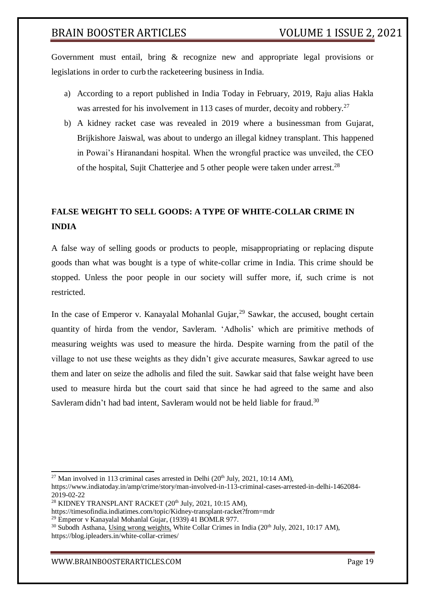Government must entail, bring & recognize new and appropriate legal provisions or legislations in order to curb the racketeering business in India.

- a) According to a report published in [India Today i](https://www.google.com/amp/s/www.indiatoday.in/amp/crime/story/man-involved-in-113-criminal-cases-arrested-in-delhi-1462084-2019-02-22)n February, 2019, Raju alias Hakla was arrested for his involvement in 113 cases of murder, decoity and robbery.<sup>27</sup>
- b) A [kidney racket](https://m.timesofindia.com/topic/Kidney-transplant-racket) case was revealed in 2019 where a businessman from Gujarat, Brijkishore Jaiswal, was about to undergo an illegal kidney transplant. This happened in Powai's Hiranandani hospital. When the wrongful practice was unveiled, the CEO of the hospital, Sujit Chatterjee and 5 other people were taken under arrest.<sup>28</sup>

## **FALSE WEIGHT TO SELL GOODS: A TYPE OF WHITE-COLLAR CRIME IN INDIA**

A false way of selling goods or products to people, misappropriating or replacing dispute goods than what was bought is a type of white-collar crime in India. This crime should be stopped. Unless the poor people in our society will suffer more, if, such crime is not restricted.

In the case of Emperor v. Kanayalal Mohanlal Gujar,  $^{29}$  Sawkar, the accused, bought certain quantity of hirda from the vendor, Savleram. 'Adholis' which are primitive methods of measuring weights was used to measure the hirda. Despite warning from the patil of the village to not use these weights as they didn't give accurate measures, Sawkar agreed to use them and later on seize the adholis and filed the suit. Sawkar said that false weight have been used to measure hirda but the court said that since he had agreed to the same and also Savleram didn't had bad intent, Savleram would not be held liable for fraud.<sup>30</sup>

 $27$  Man involved in 113 criminal cases arrested in Delhi ( $20<sup>th</sup>$  July,  $2021$ , 10:14 AM),

https:/[/www.indiatoday.in/amp/crime/story/man-involved-in-113-criminal-cases-arrested-in-delhi-1462084-](http://www.indiatoday.in/amp/crime/story/man-involved-in-113-criminal-cases-arrested-in-delhi-1462084-) 2019-02-22

<sup>&</sup>lt;sup>28</sup> KIDNEY TRANSPLANT RACKET  $(20<sup>th</sup>$  July, 2021, 10:15 AM),

https://timesofindia.indiatimes.com/topic/Kidney-transplant-racket?from=mdr

<sup>29</sup> Emperor v Kanayalal Mohanlal Gujar, (1939) 41 BOMLR 977.

<sup>&</sup>lt;sup>30</sup> Subodh Asthana, Using wrong weights, White Collar Crimes in India (20<sup>th</sup> July, 2021, 10:17 AM), https://blog.ipleaders.in/white-collar-crimes/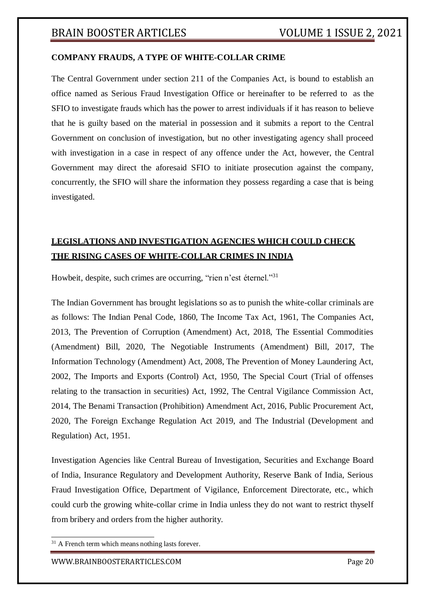## **COMPANY FRAUDS, A TYPE OF WHITE-COLLAR CRIME**

The Central Government under section 211 of the Companies Act, is bound to establish an office named as Serious Fraud Investigation Office or hereinafter to be referred to as the SFIO to investigate frauds which has the power to arrest individuals if it has reason to believe that he is guilty based on the material in possession and it submits a report to the Central Government on conclusion of investigation, but no other investigating agency shall proceed with investigation in a case in respect of any offence under the Act, however, the Central Government may direct the aforesaid SFIO to initiate prosecution against the company, concurrently, the SFIO will share the information they possess regarding a case that is being investigated.

## **LEGISLATIONS AND INVESTIGATION AGENCIES WHICH COULD CHECK THE RISING CASES OF WHITE-COLLAR CRIMES IN INDIA**

Howbeit, despite, such crimes are occurring, "rien n'est éternel."<sup>31</sup>

The Indian Government has brought legislations so as to punish the white-collar criminals are as follows: The Indian Penal Code, 1860, The Income Tax Act, 1961, The Companies Act, 2013, The Prevention of Corruption (Amendment) Act, 2018, The Essential Commodities (Amendment) Bill, 2020, The Negotiable Instruments (Amendment) Bill, 2017, The Information Technology (Amendment) Act, 2008, The Prevention of Money Laundering Act, 2002, The Imports and Exports (Control) Act, 1950, The Special Court (Trial of offenses relating to the transaction in securities) Act, 1992, The Central Vigilance Commission Act, 2014, The Benami Transaction (Prohibition) Amendment Act, 2016, Public Procurement Act, 2020, The Foreign Exchange Regulation Act 2019, and The Industrial (Development and Regulation) Act, 1951.

Investigation Agencies like Central Bureau of Investigation, Securities and Exchange Board of India, Insurance Regulatory and Development Authority, Reserve Bank of India, Serious Fraud Investigation Office, Department of Vigilance, Enforcement Directorate, etc., which could curb the growing white-collar crime in India unless they do not want to restrict thyself from bribery and orders from the higher authority.

 $31$  A French term which means nothing lasts forever.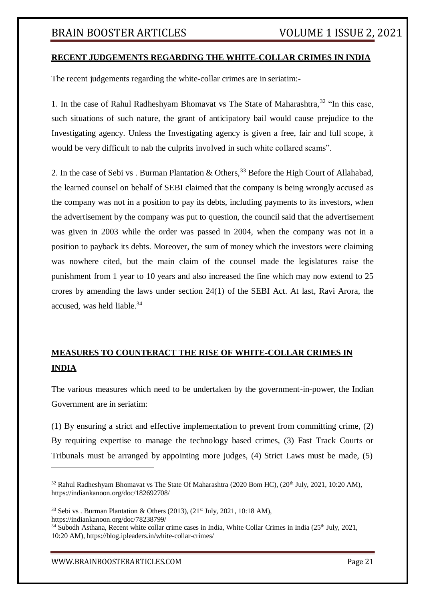## **RECENT JUDGEMENTS REGARDING THE WHITE-COLLAR CRIMES IN INDIA**

The recent judgements regarding the white-collar crimes are in seriatim:-

1. In the case of Rahul Radheshyam Bhomavat vs The State of Maharashtra,  $32$  "In this case, such situations of such nature, the grant of anticipatory bail would cause prejudice to the Investigating agency. Unless the Investigating agency is given a free, fair and full scope, it would be very difficult to nab the culprits involved in such white collared scams".

2. In the case of Sebi vs. Burman Plantation & Others,<sup>33</sup> Before the High Court of Allahabad, the learned counsel on behalf of SEBI claimed that the company is being wrongly accused as the company was not in a position to pay its debts, including payments to its investors, when the advertisement by the company was put to question, the council said that the advertisement was given in 2003 while the order was passed in 2004, when the company was not in a position to payback its debts. Moreover, the sum of money which the investors were claiming was nowhere cited, but the main claim of the counsel made the legislatures raise the punishment from 1 year to 10 years and also increased the fine which may now extend to 25 crores by amending the laws under [section 24\(1\) o](https://indiankanoon.org/doc/1293240/)f the SEBI Act. At last, Ravi Arora, the accused, was held liable.<sup>34</sup>

## **MEASURES TO COUNTERACT THE RISE OF WHITE-COLLAR CRIMES IN INDIA**

The various measures which need to be undertaken by the government-in-power, the Indian Government are in seriatim:

(1) By ensuring a strict and effective implementation to prevent from committing crime, (2) By requiring expertise to manage the technology based crimes, (3) Fast Track Courts or Tribunals must be arranged by appointing more judges, (4) Strict Laws must be made, (5)

[WWW.BRAINBOOSTERARTICLES.COM](http://www.brainboosterarticles.com/) Page 21

<sup>&</sup>lt;sup>32</sup> Rahul Radheshyam Bhomavat vs The State Of Maharashtra (2020 Bom HC), (20<sup>th</sup> July, 2021, 10:20 AM), https://indiankanoon.org/doc/182692708/

<sup>&</sup>lt;sup>33</sup> Sebi vs . Burman Plantation & Others (2013), (21<sup>st</sup> July, 2021, 10:18 AM), https://indiankanoon.org/doc/78238799/

<sup>&</sup>lt;sup>34</sup> Subodh Asthana, Recent white collar crime cases in India, White Collar Crimes in India (25<sup>th</sup> July, 2021, 10:20 AM), https://blog.ipleaders.in/white-collar-crimes/